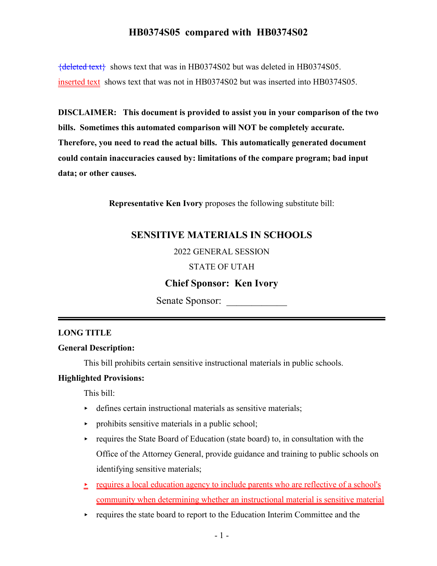${deleted text}$  shows text that was in HB0374S02 but was deleted in HB0374S05. inserted text shows text that was not in HB0374S02 but was inserted into HB0374S05.

**DISCLAIMER: This document is provided to assist you in your comparison of the two bills. Sometimes this automated comparison will NOT be completely accurate. Therefore, you need to read the actual bills. This automatically generated document could contain inaccuracies caused by: limitations of the compare program; bad input data; or other causes.**

**Representative Ken Ivory** proposes the following substitute bill:

## **SENSITIVE MATERIALS IN SCHOOLS**

2022 GENERAL SESSION

#### STATE OF UTAH

## **Chief Sponsor: Ken Ivory**

Senate Sponsor:

#### **LONG TITLE**

### **General Description:**

This bill prohibits certain sensitive instructional materials in public schools.

#### **Highlighted Provisions:**

This bill:

- $\rightarrow$  defines certain instructional materials as sensitive materials;
- $\triangleright$  prohibits sensitive materials in a public school;
- $\rightarrow$  requires the State Board of Education (state board) to, in consultation with the Office of the Attorney General, provide guidance and training to public schools on identifying sensitive materials;
- $\textcolor{red}{\bullet}$  requires a local education agency to include parents who are reflective of a school's community when determining whether an instructional material is sensitive material
- $\rightarrow$  requires the state board to report to the Education Interim Committee and the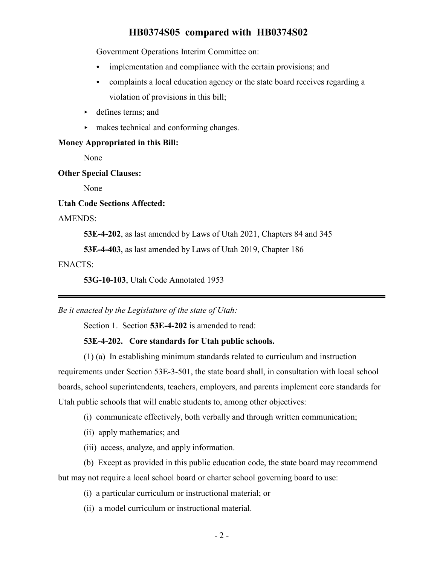Government Operations Interim Committee on:

- $\bullet$  implementation and compliance with the certain provisions; and
- complaints a local education agency or the state board receives regarding a violation of provisions in this bill;
- < defines terms; and
- $\blacktriangleright$  makes technical and conforming changes.

### **Money Appropriated in this Bill:**

None

#### **Other Special Clauses:**

None

#### **Utah Code Sections Affected:**

AMENDS:

**53E-4-202**, as last amended by Laws of Utah 2021, Chapters 84 and 345

**53E-4-403**, as last amended by Laws of Utah 2019, Chapter 186

### ENACTS:

**53G-10-103**, Utah Code Annotated 1953

*Be it enacted by the Legislature of the state of Utah:*

Section 1. Section **53E-4-202** is amended to read:

#### **53E-4-202. Core standards for Utah public schools.**

(1) (a) In establishing minimum standards related to curriculum and instruction requirements under Section 53E-3-501, the state board shall, in consultation with local school boards, school superintendents, teachers, employers, and parents implement core standards for Utah public schools that will enable students to, among other objectives:

(i) communicate effectively, both verbally and through written communication;

(ii) apply mathematics; and

(iii) access, analyze, and apply information.

(b) Except as provided in this public education code, the state board may recommend but may not require a local school board or charter school governing board to use:

- (i) a particular curriculum or instructional material; or
- (ii) a model curriculum or instructional material.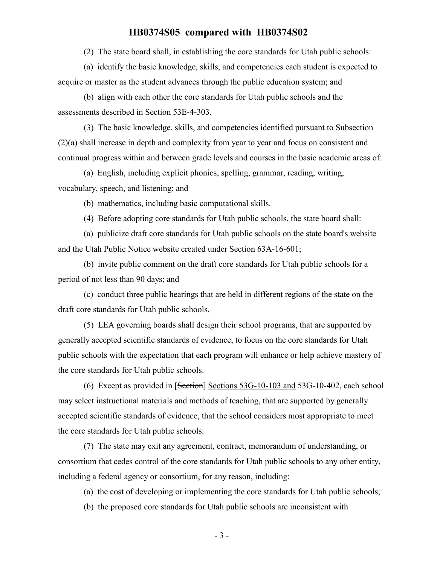(2) The state board shall, in establishing the core standards for Utah public schools:

(a) identify the basic knowledge, skills, and competencies each student is expected to acquire or master as the student advances through the public education system; and

(b) align with each other the core standards for Utah public schools and the assessments described in Section 53E-4-303.

(3) The basic knowledge, skills, and competencies identified pursuant to Subsection (2)(a) shall increase in depth and complexity from year to year and focus on consistent and continual progress within and between grade levels and courses in the basic academic areas of:

(a) English, including explicit phonics, spelling, grammar, reading, writing, vocabulary, speech, and listening; and

(b) mathematics, including basic computational skills.

(4) Before adopting core standards for Utah public schools, the state board shall:

(a) publicize draft core standards for Utah public schools on the state board's website and the Utah Public Notice website created under Section 63A-16-601;

(b) invite public comment on the draft core standards for Utah public schools for a period of not less than 90 days; and

(c) conduct three public hearings that are held in different regions of the state on the draft core standards for Utah public schools.

(5) LEA governing boards shall design their school programs, that are supported by generally accepted scientific standards of evidence, to focus on the core standards for Utah public schools with the expectation that each program will enhance or help achieve mastery of the core standards for Utah public schools.

(6) Except as provided in [Section] Sections 53G-10-103 and 53G-10-402, each school may select instructional materials and methods of teaching, that are supported by generally accepted scientific standards of evidence, that the school considers most appropriate to meet the core standards for Utah public schools.

(7) The state may exit any agreement, contract, memorandum of understanding, or consortium that cedes control of the core standards for Utah public schools to any other entity, including a federal agency or consortium, for any reason, including:

(a) the cost of developing or implementing the core standards for Utah public schools;

(b) the proposed core standards for Utah public schools are inconsistent with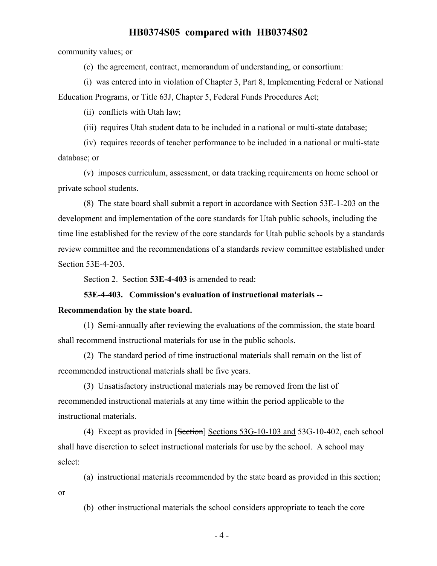community values; or

(c) the agreement, contract, memorandum of understanding, or consortium:

(i) was entered into in violation of Chapter 3, Part 8, Implementing Federal or National Education Programs, or Title 63J, Chapter 5, Federal Funds Procedures Act;

(ii) conflicts with Utah law;

(iii) requires Utah student data to be included in a national or multi-state database;

(iv) requires records of teacher performance to be included in a national or multi-state database; or

(v) imposes curriculum, assessment, or data tracking requirements on home school or private school students.

(8) The state board shall submit a report in accordance with Section 53E-1-203 on the development and implementation of the core standards for Utah public schools, including the time line established for the review of the core standards for Utah public schools by a standards review committee and the recommendations of a standards review committee established under Section 53E-4-203.

Section 2. Section **53E-4-403** is amended to read:

#### **53E-4-403. Commission's evaluation of instructional materials --**

#### **Recommendation by the state board.**

(1) Semi-annually after reviewing the evaluations of the commission, the state board shall recommend instructional materials for use in the public schools.

(2) The standard period of time instructional materials shall remain on the list of recommended instructional materials shall be five years.

(3) Unsatisfactory instructional materials may be removed from the list of recommended instructional materials at any time within the period applicable to the instructional materials.

(4) Except as provided in [Section] Sections 53G-10-103 and 53G-10-402, each school shall have discretion to select instructional materials for use by the school. A school may select:

(a) instructional materials recommended by the state board as provided in this section;

or

(b) other instructional materials the school considers appropriate to teach the core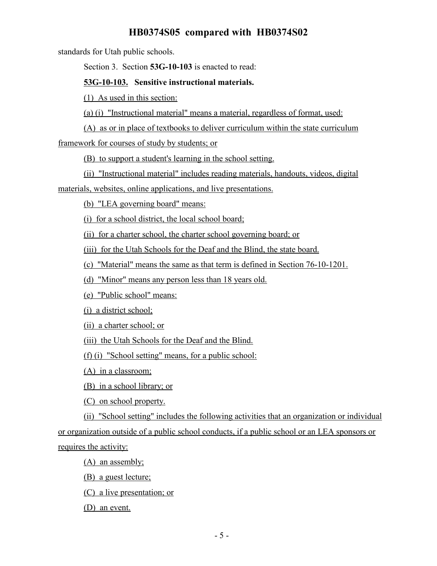standards for Utah public schools.

Section 3. Section **53G-10-103** is enacted to read:

### **53G-10-103. Sensitive instructional materials.**

(1) As used in this section:

(a) (i) "Instructional material" means a material, regardless of format, used:

(A) as or in place of textbooks to deliver curriculum within the state curriculum

framework for courses of study by students; or

(B) to support a student's learning in the school setting.

(ii) "Instructional material" includes reading materials, handouts, videos, digital

materials, websites, online applications, and live presentations.

(b) "LEA governing board" means:

(i) for a school district, the local school board;

(ii) for a charter school, the charter school governing board; or

(iii) for the Utah Schools for the Deaf and the Blind, the state board.

(c) "Material" means the same as that term is defined in Section 76-10-1201.

(d) "Minor" means any person less than 18 years old.

(e) "Public school" means:

(i) a district school;

(ii) a charter school; or

(iii) the Utah Schools for the Deaf and the Blind.

(f) (i) "School setting" means, for a public school:

(A) in a classroom;

(B) in a school library; or

(C) on school property.

(ii) "School setting" includes the following activities that an organization or individual or organization outside of a public school conducts, if a public school or an LEA sponsors or requires the activity:

(A) an assembly;

(B) a guest lecture;

(C) a live presentation; or

(D) an event.